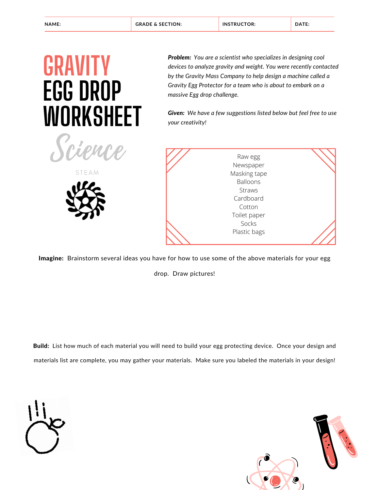## **GRAVITY EGG DROP WORKSHEET**

Science

**STEAM** 

*Problem: You are a scientist who specializes in designing cool devices to analyze gravity and weight. You were recently contacted by the Gravity Mass Company to help design a machine called a Gravity Egg Protector for a team who is about to embark on a massive Egg drop challenge.*

*Given: We have a few suggestions listed below but feel free to use your creativity!*



Imagine: Brainstorm several ideas you have for how to use some of the above materials for your egg

drop. Draw pictures!

Build: List how much of each material you will need to build your egg protecting device. Once your design and materials list are complete, you may gather your materials. Make sure you labeled the materials in your design!



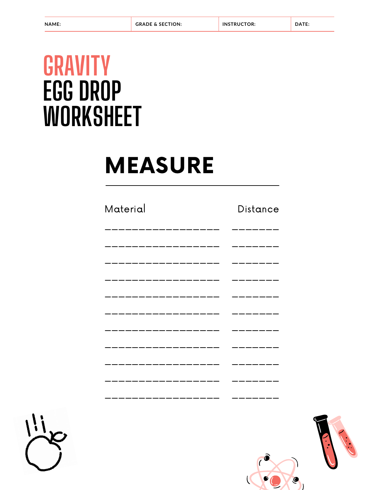## **GRAVITY EGG DROP WORKSHEET**

# **MEASURE**

### Material

#### Distance

| _____________                      |               |
|------------------------------------|---------------|
| . __ __ __ __ __ __ __ __ __ __ __ | _____________ |
| . __ _ _ _ _ _ _ _ _ _ _ _ _ _ _   |               |
|                                    |               |
|                                    | -- --         |
|                                    |               |
| _______________                    | .             |
|                                    |               |
|                                    |               |